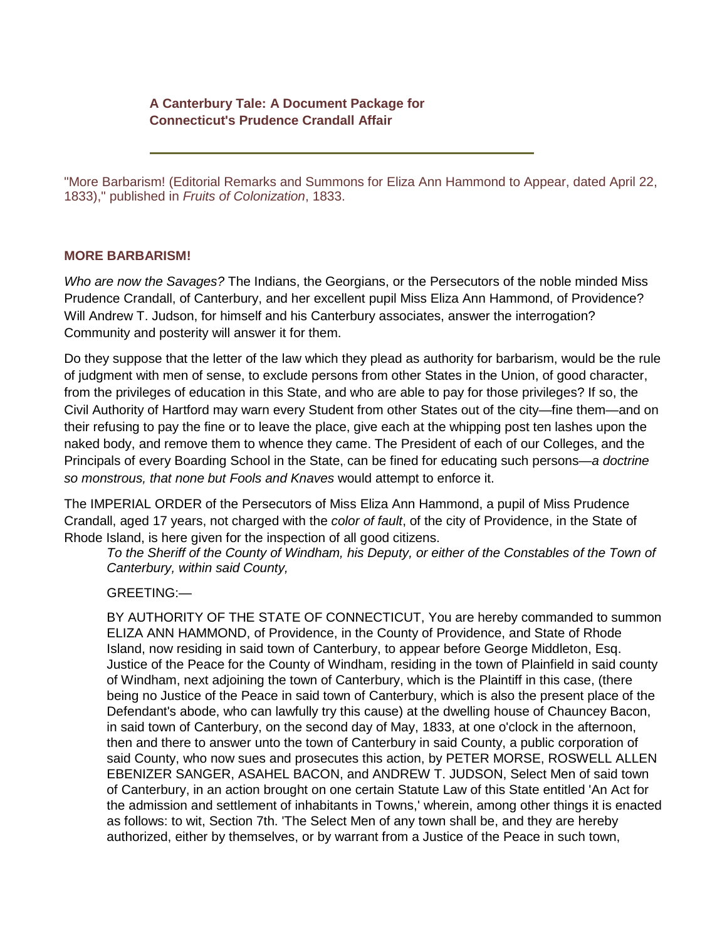## **A Canterbury Tale: A Document Package for Connecticut's Prudence Crandall Affair**

"More Barbarism! (Editorial Remarks and Summons for Eliza Ann Hammond to Appear, dated April 22, 1833)," published in *Fruits of Colonization*, 1833.

## **MORE BARBARISM!**

*Who are now the Savages?* The Indians, the Georgians, or the Persecutors of the noble minded Miss Prudence Crandall, of Canterbury, and her excellent pupil Miss Eliza Ann Hammond, of Providence? Will Andrew T. Judson, for himself and his Canterbury associates, answer the interrogation? Community and posterity will answer it for them.

Do they suppose that the letter of the law which they plead as authority for barbarism, would be the rule of judgment with men of sense, to exclude persons from other States in the Union, of good character, from the privileges of education in this State, and who are able to pay for those privileges? If so, the Civil Authority of Hartford may warn every Student from other States out of the city—fine them—and on their refusing to pay the fine or to leave the place, give each at the whipping post ten lashes upon the naked body, and remove them to whence they came. The President of each of our Colleges, and the Principals of every Boarding School in the State, can be fined for educating such persons—*a doctrine so monstrous, that none but Fools and Knaves* would attempt to enforce it.

The IMPERIAL ORDER of the Persecutors of Miss Eliza Ann Hammond, a pupil of Miss Prudence Crandall, aged 17 years, not charged with the *color of fault*, of the city of Providence, in the State of Rhode Island, is here given for the inspection of all good citizens.

*To the Sheriff of the County of Windham, his Deputy, or either of the Constables of the Town of Canterbury, within said County,*

GREETING:—

BY AUTHORITY OF THE STATE OF CONNECTICUT, You are hereby commanded to summon ELIZA ANN HAMMOND, of Providence, in the County of Providence, and State of Rhode Island, now residing in said town of Canterbury, to appear before George Middleton, Esq. Justice of the Peace for the County of Windham, residing in the town of Plainfield in said county of Windham, next adjoining the town of Canterbury, which is the Plaintiff in this case, (there being no Justice of the Peace in said town of Canterbury, which is also the present place of the Defendant's abode, who can lawfully try this cause) at the dwelling house of Chauncey Bacon, in said town of Canterbury, on the second day of May, 1833, at one o'clock in the afternoon, then and there to answer unto the town of Canterbury in said County, a public corporation of said County, who now sues and prosecutes this action, by PETER MORSE, ROSWELL ALLEN EBENIZER SANGER, ASAHEL BACON, and ANDREW T. JUDSON, Select Men of said town of Canterbury, in an action brought on one certain Statute Law of this State entitled 'An Act for the admission and settlement of inhabitants in Towns,' wherein, among other things it is enacted as follows: to wit, Section 7th. 'The Select Men of any town shall be, and they are hereby authorized, either by themselves, or by warrant from a Justice of the Peace in such town,